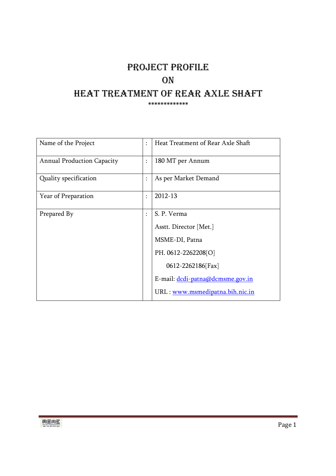# PROJECT PROFILE **ON**  HEAT TREATMENT OF REAR AXLE SHAFT \*\*\*\*\*\*\*\*\*\*\*\*\*

| Name of the Project               | $\ddot{\phantom{a}}$ | Heat Treatment of Rear Axle Shaft |
|-----------------------------------|----------------------|-----------------------------------|
| <b>Annual Production Capacity</b> | ÷                    | 180 MT per Annum                  |
| Quality specification             | $\ddot{\cdot}$       | As per Market Demand              |
| Year of Preparation               | $\ddot{\cdot}$       | 2012-13                           |
| Prepared By                       | $\vdots$             | S. P. Verma                       |
|                                   |                      | Asstt. Director [Met.]            |
|                                   |                      | MSME-DI, Patna                    |
|                                   |                      | PH. 0612-2262208[O]               |
|                                   |                      | 0612-2262186[Fax]                 |
|                                   |                      | E-mail: dcdi-patna@dcmsme.gov.in  |
|                                   |                      | URL: www.msmedipatna.bih.nic.in   |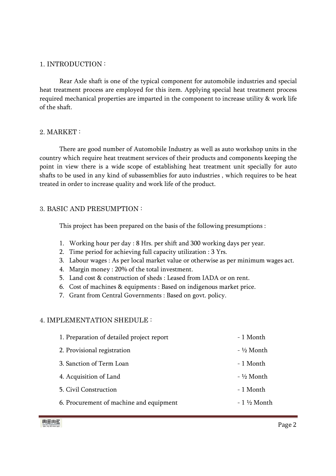### 1. INTRODUCTION :

 Rear Axle shaft is one of the typical component for automobile industries and special heat treatment process are employed for this item. Applying special heat treatment process required mechanical properties are imparted in the component to increase utility & work life of the shaft.

### 2. MARKET :

 There are good number of Automobile Industry as well as auto workshop units in the country which require heat treatment services of their products and components keeping the point in view there is a wide scope of establishing heat treatment unit specially for auto shafts to be used in any kind of subassemblies for auto industries , which requires to be heat treated in order to increase quality and work life of the product.

### 3. BASIC AND PRESUMPTION :

This project has been prepared on the basis of the following presumptions :

- 1. Working hour per day : 8 Hrs. per shift and 300 working days per year.
- 2. Time period for achieving full capacity utilization : 3 Yrs.
- 3. Labour wages : As per local market value or otherwise as per minimum wages act.
- 4. Margin money : 20% of the total investment.
- 5. Land cost & construction of sheds : Leased from IADA or on rent.
- 6. Cost of machines & equipments : Based on indigenous market price.
- 7. Grant from Central Governments : Based on govt. policy.

### 4. IMPLEMENTATION SHEDULE :

| 1. Preparation of detailed project report | - 1 Month             |
|-------------------------------------------|-----------------------|
| 2. Provisional registration               | - ½ Month             |
| 3. Sanction of Term Loan                  | - 1 Month             |
| 4. Acquisition of Land                    | $-$ 1/2 Month         |
| 5. Civil Construction                     | - 1 Month             |
| 6. Procurement of machine and equipment   | $-1\frac{1}{2}$ Month |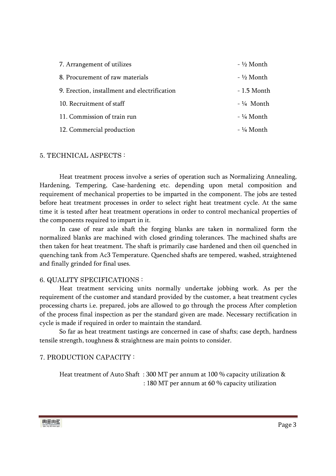| 7. Arrangement of utilizes                   | $-$ 1/2 Month |
|----------------------------------------------|---------------|
| 8. Procurement of raw materials              | - ½ Month     |
| 9. Erection, installment and electrification | - 1.5 Month   |
| 10. Recruitment of staff                     | $-$ ¼ Month   |
| 11. Commission of train run                  | - ¼ Month     |
| 12. Commercial production                    | $-$ 1/4 Month |

### 5. TECHNICAL ASPECTS :

 Heat treatment process involve a series of operation such as Normalizing Annealing, Hardening, Tempering, Case-hardening etc. depending upon metal composition and requirement of mechanical properties to be imparted in the component. The jobs are tested before heat treatment processes in order to select right heat treatment cycle. At the same time it is tested after heat treatment operations in order to control mechanical properties of the components required to impart in it.

 In case of rear axle shaft the forging blanks are taken in normalized form the normalized blanks are machined with closed grinding tolerances. The machined shafts are then taken for heat treatment. The shaft is primarily case hardened and then oil quenched in quenching tank from Ac3 Temperature. Quenched shafts are tempered, washed, straightened and finally grinded for final uses.

#### 6. QUALITY SPECIFICATIONS :

 Heat treatment servicing units normally undertake jobbing work. As per the requirement of the customer and standard provided by the customer, a heat treatment cycles processing charts i.e. prepared, jobs are allowed to go through the process After completion of the process final inspection as per the standard given are made. Necessary rectification in cycle is made if required in order to maintain the standard.

 So far as heat treatment tastings are concerned in case of shafts; case depth, hardness tensile strength, toughness & straightness are main points to consider.

### 7. PRODUCTION CAPACITY :

 Heat treatment of Auto Shaft : 300 MT per annum at 100 % capacity utilization & : 180 MT per annum at 60 % capacity utilization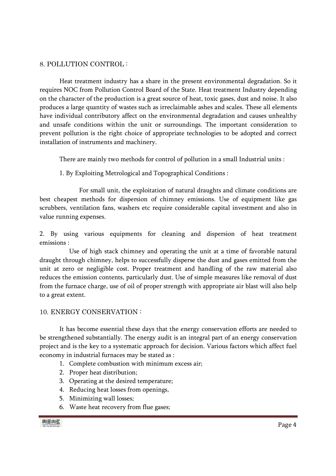### 8. POLLUTION CONTROL :

 Heat treatment industry has a share in the present environmental degradation. So it requires NOC from Pollution Control Board of the State. Heat treatment Industry depending on the character of the production is a great source of heat, toxic gases, dust and noise. It also produces a large quantity of wastes such as irreclaimable ashes and scales. These all elements have individual contributory affect on the environmental degradation and causes unhealthy and unsafe conditions within the unit or surroundings. The important consideration to prevent pollution is the right choice of appropriate technologies to be adopted and correct installation of instruments and machinery.

There are mainly two methods for control of pollution in a small Industrial units :

1. By Exploiting Metrological and Topographical Conditions :

 For small unit, the exploitation of natural draughts and climate conditions are best cheapest methods for dispersion of chimney emissions. Use of equipment like gas scrubbers, ventilation fans, washers etc require considerable capital investment and also in value running expenses.

2. By using various equipments for cleaning and dispersion of heat treatment emissions :

 Use of high stack chimney and operating the unit at a time of favorable natural draught through chimney, helps to successfully disperse the dust and gases emitted from the unit at zero or negligible cost. Proper treatment and handling of the raw material also reduces the emission contents, particularly dust. Use of simple measures like removal of dust from the furnace charge, use of oil of proper strength with appropriate air blast will also help to a great extent.

### 10. ENERGY CONSERVATION :

 It has become essential these days that the energy conservation efforts are needed to be strengthened substantially. The energy audit is an integral part of an energy conservation project and is the key to a systematic approach for decision. Various factors which affect fuel economy in industrial furnaces may be stated as :

- 1. Complete combustion with minimum excess air;
- 2. Proper heat distribution;
- 3. Operating at the desired temperature;
- 4. Reducing heat losses from openings,
- 5. Minimizing wall losses;
- 6. Waste heat recovery from flue gases;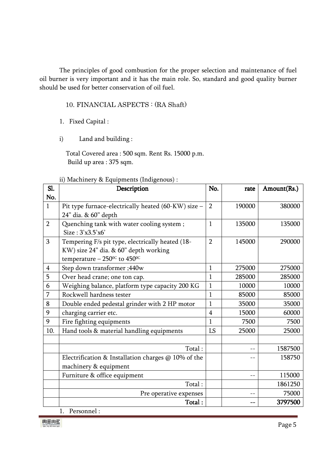The principles of good combustion for the proper selection and maintenance of fuel oil burner is very important and it has the main role. So, standard and good quality burner should be used for better conservation of oil fuel.

10. FINANCIAL ASPECTS : (RA Shaft)

- 1. Fixed Capital :
- i) Land and building :

 Total Covered area : 500 sqm. Rent Rs. 15000 p.m. Build up area : 375 sqm.

| ii) Machinery & Equipments (Indigenous) : |  |  |  |
|-------------------------------------------|--|--|--|
|                                           |  |  |  |

| Sl.            | Description                                                   | No.            | rate   | Amount(Rs.) |
|----------------|---------------------------------------------------------------|----------------|--------|-------------|
| No.            |                                                               |                |        |             |
| $\mathbf{1}$   | Pit type furnace-electrically heated (60-KW) size -           | $\overline{2}$ | 190000 | 380000      |
|                | 24" dia. & 60" depth                                          |                |        |             |
| $\overline{2}$ | Quenching tank with water cooling system;<br>Size: 3'x3.5'x6' | $\mathbf{1}$   | 135000 | 135000      |
| 3              | Tempering F/s pit type, electrically heated (18-              | $\overline{2}$ | 145000 | 290000      |
|                | KW) size 24" dia. & 60" depth working                         |                |        |             |
|                | temperature – $250^{\circ}$ to $450^{\circ}$                  |                |        |             |
| $\overline{4}$ | Step down transformer ;440w                                   | $\mathbf{1}$   | 275000 | 275000      |
| 5              | Over head crane; one ton cap.                                 | $\mathbf{1}$   | 285000 | 285000      |
| 6              | Weighing balance, platform type capacity 200 KG               | $\mathbf{1}$   | 10000  | 10000       |
| 7              | Rockwell hardness tester                                      | $\mathbf{1}$   | 85000  | 85000       |
| 8              | Double ended pedestal grinder with 2 HP motor                 | $\mathbf{1}$   | 35000  | 35000       |
| 9              | charging carrier etc.                                         | $\overline{4}$ | 15000  | 60000       |
| 9              | Fire fighting equipments                                      | $\mathbf{1}$   | 7500   | 7500        |
| 10.            | Hand tools & material handling equipments                     | LS             | 25000  | 25000       |
|                |                                                               |                |        |             |
|                | Total:                                                        |                |        | 1587500     |
|                | Electrification & Installation charges $@$ 10% of the         |                |        | 158750      |
|                | machinery & equipment                                         |                |        |             |
|                | Furniture & office equipment                                  |                | --     | 115000      |
|                | Total:                                                        |                |        | 1861250     |
|                | Pre operative expenses                                        |                | --     | 75000       |
|                | Total:<br>$\mathbf{L}$<br>$\mathbf{1}$<br>D.                  |                | --     | 3797500     |

1. Personnel :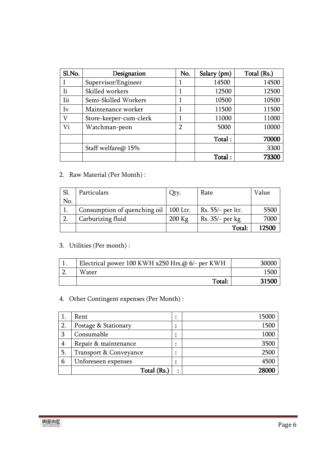| Sl.No. | Designation            | No.            | Salary (pm) | Total (Rs.) |
|--------|------------------------|----------------|-------------|-------------|
|        | Supervisor/Engineer    |                | 14500       | 14500       |
| Ιi     | Skilled workers        |                | 12500       | 12500       |
| Iii    | Semi-Skilled Workers   |                | 10500       | 10500       |
| Iv     | Maintenance worker     |                | 11500       | 11500       |
| V      | Store-keeper-cum-clerk | 1              | 11000       | 11000       |
| Vi     | Watchman-peon          | $\overline{2}$ | 5000        | 10000       |
|        |                        |                | Total:      | 70000       |
|        | Staff welfare@ 15%     |                |             | 3300        |
|        |                        |                | Total:      | 73300       |

# 2. Raw Material (Per Month) :

| Sl. | Particulars                             | Qty.     | Rate              | Value |
|-----|-----------------------------------------|----------|-------------------|-------|
| No. |                                         |          |                   |       |
|     | Consumption of quenching oil   100 Ltr. |          | Rs. 55/- per ltr. | 5500  |
|     | Carburizing fluid                       | $200$ Kg | Rs. 35/- per kg   | 7000  |
|     |                                         |          | Total:            | 12500 |

# 3. Utilities (Per month) :

| Electrical power 100 KWH x250 Hrs.@ 6/- per KWH | 30000 |
|-------------------------------------------------|-------|
| Water                                           |       |
| Total:                                          | 31500 |

# 4. Other Contingent expenses (Per Month) :

|    | Rent                   | ٠         | 15000 |
|----|------------------------|-----------|-------|
| 2. | Postage & Stationary   |           | 1500  |
| 3  | Consumable             | ٠<br>٠    | 1000  |
| 4  | Repair & maintenance   |           | 3500  |
| 5. | Transport & Conveyance | ٠         | 2500  |
| 6  | Unforeseen expenses    | ٠         | 4500  |
|    | Total (Rs.)            | $\bullet$ | 28000 |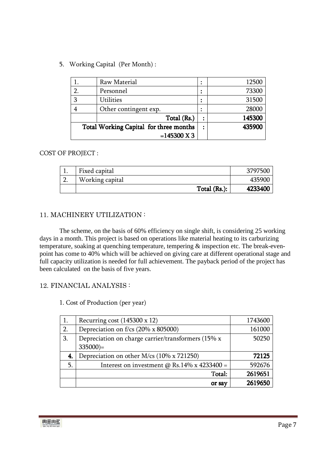5. Working Capital (Per Month) :

|   | Raw Material                           | ٠ | 12500  |
|---|----------------------------------------|---|--------|
|   | Personnel                              | ٠ | 73300  |
| 3 | <b>Utilities</b>                       | ٠ | 31500  |
|   | Other contingent exp.                  | ٠ | 28000  |
|   | Total (Rs.)                            |   | 145300 |
|   | Total Working Capital for three months |   | 435900 |
|   | $=145300 \text{ X } 3$                 |   |        |

### COST OF PROJECT :

|               | Fixed capital   | 3797500 |
|---------------|-----------------|---------|
| n<br><u>.</u> | Working capital | 435900  |
|               | Total (Rs.):    | 4233400 |

### 11. MACHINERY UTILIZATION :

 The scheme, on the basis of 60% efficiency on single shift, is considering 25 working days in a month. This project is based on operations like material heating to its carburizing temperature, soaking at quenching temperature, tempering & inspection etc. The break-evenpoint has come to 40% which will be achieved on giving care at different operational stage and full capacity utilization is needed for full achievement. The payback period of the project has been calculated on the basis of five years.

### 12. FINANCIAL ANALYSIS :

1. Cost of Production (per year)

| 1. | Recurring cost $(145300 \times 12)$                | 1743600 |
|----|----------------------------------------------------|---------|
| 2. | Depreciation on f/cs (20% x 805000)                | 161000  |
| 3. | Depreciation on charge carrier/transformers (15% x | 50250   |
|    | $335000$ )=                                        |         |
| 4. | Depreciation on other M/cs (10% x 721250)          | 72125   |
| 5. | Interest on investment $\omega$ Rs.14% x 4233400 = | 592676  |
|    | Total:                                             | 2619651 |
|    | or say                                             | 2619650 |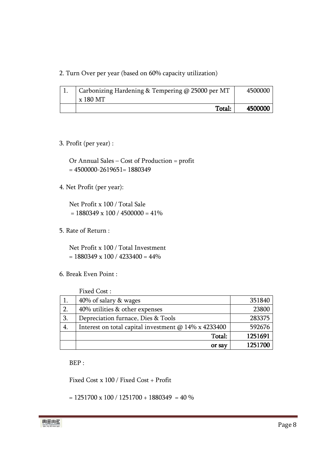2. Turn Over per year (based on 60% capacity utilization)

| Carbonizing Hardening & Tempering @ 25000 per MT | 4500000 |
|--------------------------------------------------|---------|
| x 180 MT                                         |         |
| Total:                                           | 4500000 |

### 3. Profit (per year) :

Or Annual Sales – Cost of Production = profit  $= 4500000 - 2619651 = 1880349$ 

### 4. Net Profit (per year):

Net Profit x 100 / Total Sale  $= 1880349 \times 100 / 4500000 = 41\%$ 

5. Rate of Return :

Net Profit x 100 / Total Investment  $= 1880349 \times 100 / 4233400 = 44\%$ 

6. Break Even Point :

Fixed Cost :

|    | or say                                               | 1251700 |
|----|------------------------------------------------------|---------|
|    | Total:                                               | 1251691 |
| 4. | Interest on total capital investment @ 14% x 4233400 | 592676  |
| 3. | Depreciation furnace, Dies & Tools                   | 283375  |
| 2. | 40% utilities & other expenses                       | 23800   |
|    | 40% of salary & wages                                | 351840  |

BEP :

Fixed Cost x 100 / Fixed Cost + Profit

 $= 1251700 \times 100 / 1251700 + 1880349 = 40 %$